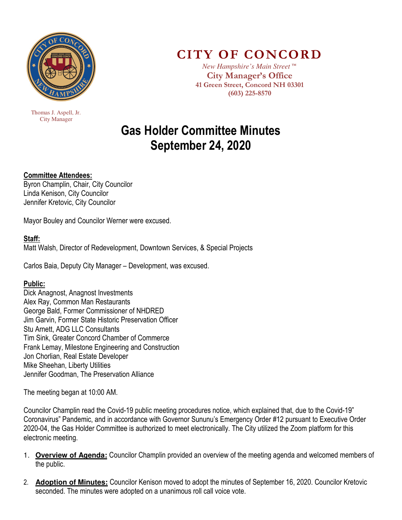

 Thomas J. Aspell, Jr. City Manager

## **CITY OF CONCORD**

*New Hampshire's Main Street™*  **City Manager's Office 41 Green Street, Concord NH 03301 (603) 225-8570** 

# **Gas Holder Committee Minutes September 24, 2020**

### **Committee Attendees:**

Byron Champlin, Chair, City Councilor Linda Kenison, City Councilor Jennifer Kretovic, City Councilor

Mayor Bouley and Councilor Werner were excused.

#### **Staff:**

Matt Walsh, Director of Redevelopment, Downtown Services, & Special Projects

Carlos Baia, Deputy City Manager – Development, was excused.

#### **Public:**

Dick Anagnost, Anagnost Investments Alex Ray, Common Man Restaurants George Bald, Former Commissioner of NHDRED Jim Garvin, Former State Historic Preservation Officer Stu Arnett, ADG LLC Consultants Tim Sink, Greater Concord Chamber of Commerce Frank Lemay, Milestone Engineering and Construction Jon Chorlian, Real Estate Developer Mike Sheehan, Liberty Utilities Jennifer Goodman, The Preservation Alliance

The meeting began at 10:00 AM.

Councilor Champlin read the Covid-19 public meeting procedures notice, which explained that, due to the Covid-19" Coronavirus" Pandemic, and in accordance with Governor Sununu's Emergency Order #12 pursuant to Executive Order 2020-04, the Gas Holder Committee is authorized to meet electronically. The City utilized the Zoom platform for this electronic meeting.

- 1. **Overview of Agenda:** Councilor Champlin provided an overview of the meeting agenda and welcomed members of the public.
- 2. **Adoption of Minutes:** Councilor Kenison moved to adopt the minutes of September 16, 2020. Councilor Kretovic seconded. The minutes were adopted on a unanimous roll call voice vote.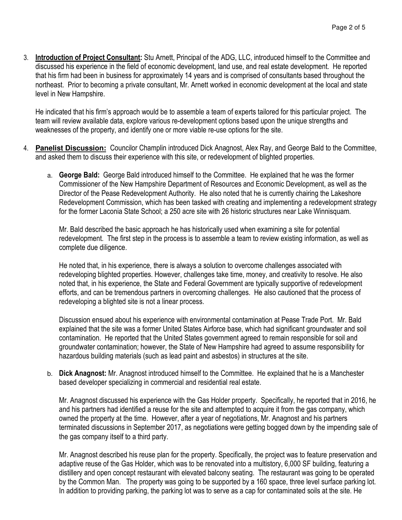3. **Introduction of Project Consultant:** Stu Arnett, Principal of the ADG, LLC, introduced himself to the Committee and discussed his experience in the field of economic development, land use, and real estate development. He reported that his firm had been in business for approximately 14 years and is comprised of consultants based throughout the northeast. Prior to becoming a private consultant, Mr. Arnett worked in economic development at the local and state level in New Hampshire.

He indicated that his firm's approach would be to assemble a team of experts tailored for this particular project. The team will review available data, explore various re-development options based upon the unique strengths and weaknesses of the property, and identify one or more viable re-use options for the site.

- 4. **Panelist Discussion:** Councilor Champlin introduced Dick Anagnost, Alex Ray, and George Bald to the Committee, and asked them to discuss their experience with this site, or redevelopment of blighted properties.
	- a. **George Bald:** George Bald introduced himself to the Committee. He explained that he was the former Commissioner of the New Hampshire Department of Resources and Economic Development, as well as the Director of the Pease Redevelopment Authority. He also noted that he is currently chairing the Lakeshore Redevelopment Commission, which has been tasked with creating and implementing a redevelopment strategy for the former Laconia State School; a 250 acre site with 26 historic structures near Lake Winnisquam.

Mr. Bald described the basic approach he has historically used when examining a site for potential redevelopment. The first step in the process is to assemble a team to review existing information, as well as complete due diligence.

He noted that, in his experience, there is always a solution to overcome challenges associated with redeveloping blighted properties. However, challenges take time, money, and creativity to resolve. He also noted that, in his experience, the State and Federal Government are typically supportive of redevelopment efforts, and can be tremendous partners in overcoming challenges. He also cautioned that the process of redeveloping a blighted site is not a linear process.

Discussion ensued about his experience with environmental contamination at Pease Trade Port. Mr. Bald explained that the site was a former United States Airforce base, which had significant groundwater and soil contamination. He reported that the United States government agreed to remain responsible for soil and groundwater contamination; however, the State of New Hampshire had agreed to assume responsibility for hazardous building materials (such as lead paint and asbestos) in structures at the site.

b. **Dick Anagnost:** Mr. Anagnost introduced himself to the Committee. He explained that he is a Manchester based developer specializing in commercial and residential real estate.

Mr. Anagnost discussed his experience with the Gas Holder property. Specifically, he reported that in 2016, he and his partners had identified a reuse for the site and attempted to acquire it from the gas company, which owned the property at the time. However, after a year of negotiations, Mr. Anagnost and his partners terminated discussions in September 2017, as negotiations were getting bogged down by the impending sale of the gas company itself to a third party.

Mr. Anagnost described his reuse plan for the property. Specifically, the project was to feature preservation and adaptive reuse of the Gas Holder, which was to be renovated into a multistory, 6,000 SF building, featuring a distillery and open concept restaurant with elevated balcony seating. The restaurant was going to be operated by the Common Man. The property was going to be supported by a 160 space, three level surface parking lot. In addition to providing parking, the parking lot was to serve as a cap for contaminated soils at the site. He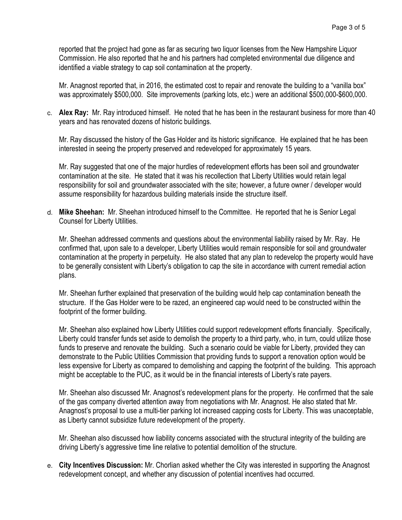reported that the project had gone as far as securing two liquor licenses from the New Hampshire Liquor Commission. He also reported that he and his partners had completed environmental due diligence and identified a viable strategy to cap soil contamination at the property.

Mr. Anagnost reported that, in 2016, the estimated cost to repair and renovate the building to a "vanilla box" was approximately \$500,000. Site improvements (parking lots, etc.) were an additional \$500,000-\$600,000.

c. **Alex Ray:** Mr. Ray introduced himself. He noted that he has been in the restaurant business for more than 40 years and has renovated dozens of historic buildings.

Mr. Ray discussed the history of the Gas Holder and its historic significance. He explained that he has been interested in seeing the property preserved and redeveloped for approximately 15 years.

Mr. Ray suggested that one of the major hurdles of redevelopment efforts has been soil and groundwater contamination at the site. He stated that it was his recollection that Liberty Utilities would retain legal responsibility for soil and groundwater associated with the site; however, a future owner / developer would assume responsibility for hazardous building materials inside the structure itself.

d. **Mike Sheehan:** Mr. Sheehan introduced himself to the Committee. He reported that he is Senior Legal Counsel for Liberty Utilities.

Mr. Sheehan addressed comments and questions about the environmental liability raised by Mr. Ray. He confirmed that, upon sale to a developer, Liberty Utilities would remain responsible for soil and groundwater contamination at the property in perpetuity. He also stated that any plan to redevelop the property would have to be generally consistent with Liberty's obligation to cap the site in accordance with current remedial action plans.

Mr. Sheehan further explained that preservation of the building would help cap contamination beneath the structure. If the Gas Holder were to be razed, an engineered cap would need to be constructed within the footprint of the former building.

Mr. Sheehan also explained how Liberty Utilities could support redevelopment efforts financially. Specifically, Liberty could transfer funds set aside to demolish the property to a third party, who, in turn, could utilize those funds to preserve and renovate the building. Such a scenario could be viable for Liberty, provided they can demonstrate to the Public Utilities Commission that providing funds to support a renovation option would be less expensive for Liberty as compared to demolishing and capping the footprint of the building. This approach might be acceptable to the PUC, as it would be in the financial interests of Liberty's rate payers.

Mr. Sheehan also discussed Mr. Anagnost's redevelopment plans for the property. He confirmed that the sale of the gas company diverted attention away from negotiations with Mr. Anagnost. He also stated that Mr. Anagnost's proposal to use a multi-tier parking lot increased capping costs for Liberty. This was unacceptable, as Liberty cannot subsidize future redevelopment of the property.

Mr. Sheehan also discussed how liability concerns associated with the structural integrity of the building are driving Liberty's aggressive time line relative to potential demolition of the structure.

e. **City Incentives Discussion:** Mr. Chorlian asked whether the City was interested in supporting the Anagnost redevelopment concept, and whether any discussion of potential incentives had occurred.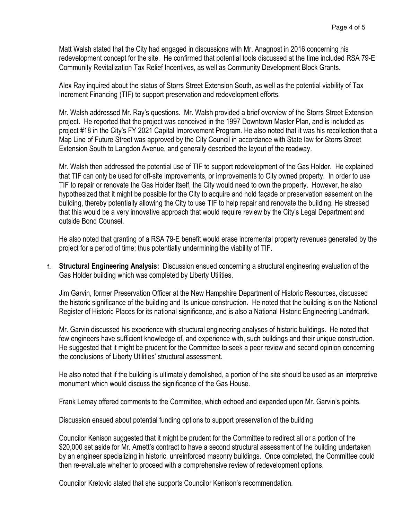Matt Walsh stated that the City had engaged in discussions with Mr. Anagnost in 2016 concerning his redevelopment concept for the site. He confirmed that potential tools discussed at the time included RSA 79-E Community Revitalization Tax Relief Incentives, as well as Community Development Block Grants.

Alex Ray inquired about the status of Storrs Street Extension South, as well as the potential viability of Tax Increment Financing (TIF) to support preservation and redevelopment efforts.

Mr. Walsh addressed Mr. Ray's questions. Mr. Walsh provided a brief overview of the Storrs Street Extension project. He reported that the project was conceived in the 1997 Downtown Master Plan, and is included as project #18 in the City's FY 2021 Capital Improvement Program. He also noted that it was his recollection that a Map Line of Future Street was approved by the City Council in accordance with State law for Storrs Street Extension South to Langdon Avenue, and generally described the layout of the roadway.

Mr. Walsh then addressed the potential use of TIF to support redevelopment of the Gas Holder. He explained that TIF can only be used for off-site improvements, or improvements to City owned property. In order to use TIF to repair or renovate the Gas Holder itself, the City would need to own the property. However, he also hypothesized that it might be possible for the City to acquire and hold façade or preservation easement on the building, thereby potentially allowing the City to use TIF to help repair and renovate the building. He stressed that this would be a very innovative approach that would require review by the City's Legal Department and outside Bond Counsel.

He also noted that granting of a RSA 79-E benefit would erase incremental property revenues generated by the project for a period of time; thus potentially undermining the viability of TIF.

f. **Structural Engineering Analysis:** Discussion ensued concerning a structural engineering evaluation of the Gas Holder building which was completed by Liberty Utilities.

Jim Garvin, former Preservation Officer at the New Hampshire Department of Historic Resources, discussed the historic significance of the building and its unique construction. He noted that the building is on the National Register of Historic Places for its national significance, and is also a National Historic Engineering Landmark.

Mr. Garvin discussed his experience with structural engineering analyses of historic buildings. He noted that few engineers have sufficient knowledge of, and experience with, such buildings and their unique construction. He suggested that it might be prudent for the Committee to seek a peer review and second opinion concerning the conclusions of Liberty Utilities' structural assessment.

He also noted that if the building is ultimately demolished, a portion of the site should be used as an interpretive monument which would discuss the significance of the Gas House.

Frank Lemay offered comments to the Committee, which echoed and expanded upon Mr. Garvin's points.

Discussion ensued about potential funding options to support preservation of the building

Councilor Kenison suggested that it might be prudent for the Committee to redirect all or a portion of the \$20,000 set aside for Mr. Arnett's contract to have a second structural assessment of the building undertaken by an engineer specializing in historic, unreinforced masonry buildings. Once completed, the Committee could then re-evaluate whether to proceed with a comprehensive review of redevelopment options.

Councilor Kretovic stated that she supports Councilor Kenison's recommendation.